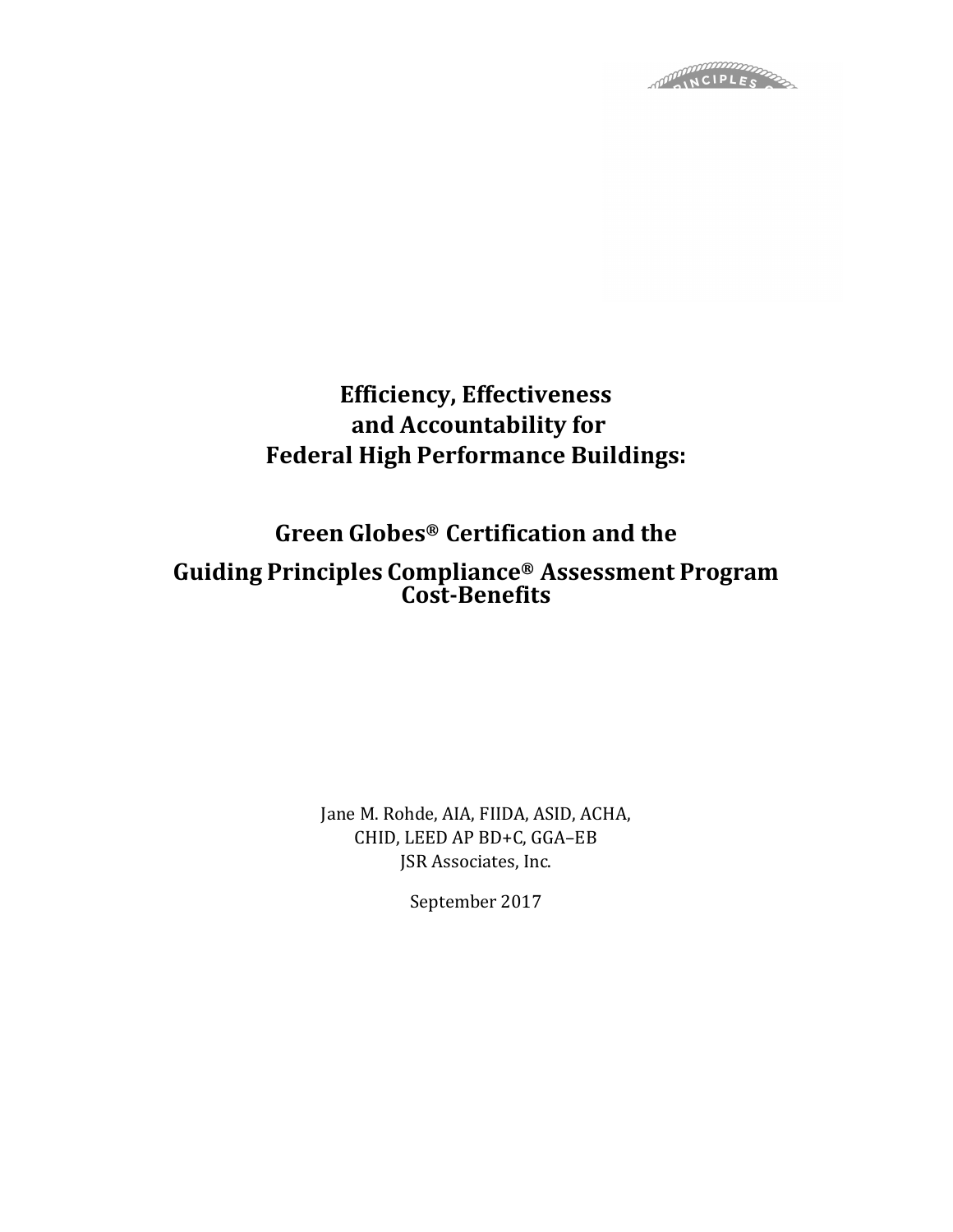# **Efficiency, Effectiveness and Accountability for Federal High Performance Buildings:**

# **Green Globes® Certification and the**

### **Guiding Principles Compliance® Assessment Program Cost-Benefits**

Jane M. Rohde, AIA, FIIDA, ASID, ACHA, CHID, LEED AP BD+C, GGA–EB JSR Associates, Inc.

September 2017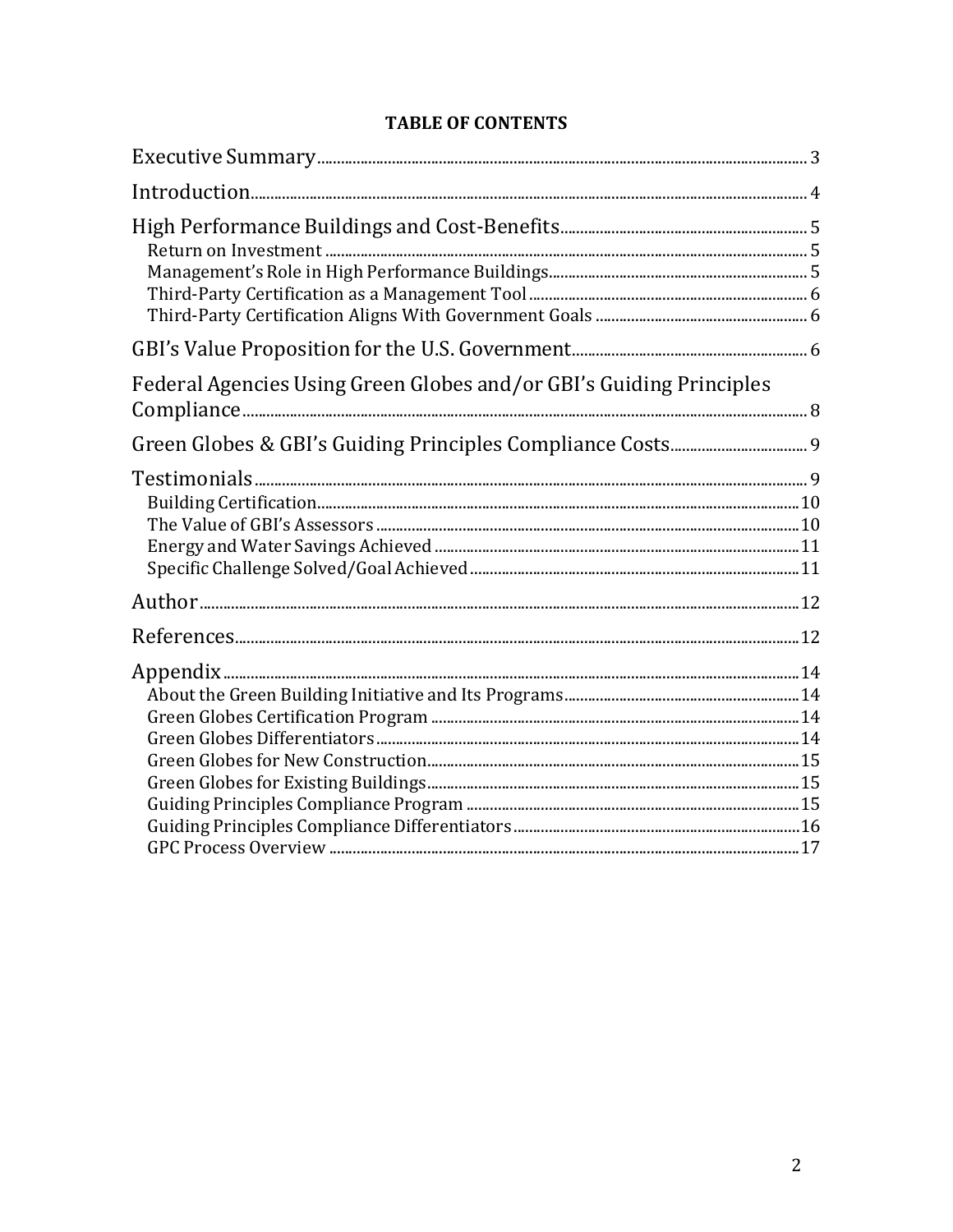| Federal Agencies Using Green Globes and/or GBI's Guiding Principles |  |
|---------------------------------------------------------------------|--|
|                                                                     |  |
|                                                                     |  |
|                                                                     |  |
|                                                                     |  |
|                                                                     |  |

### **TABLE OF CONTENTS**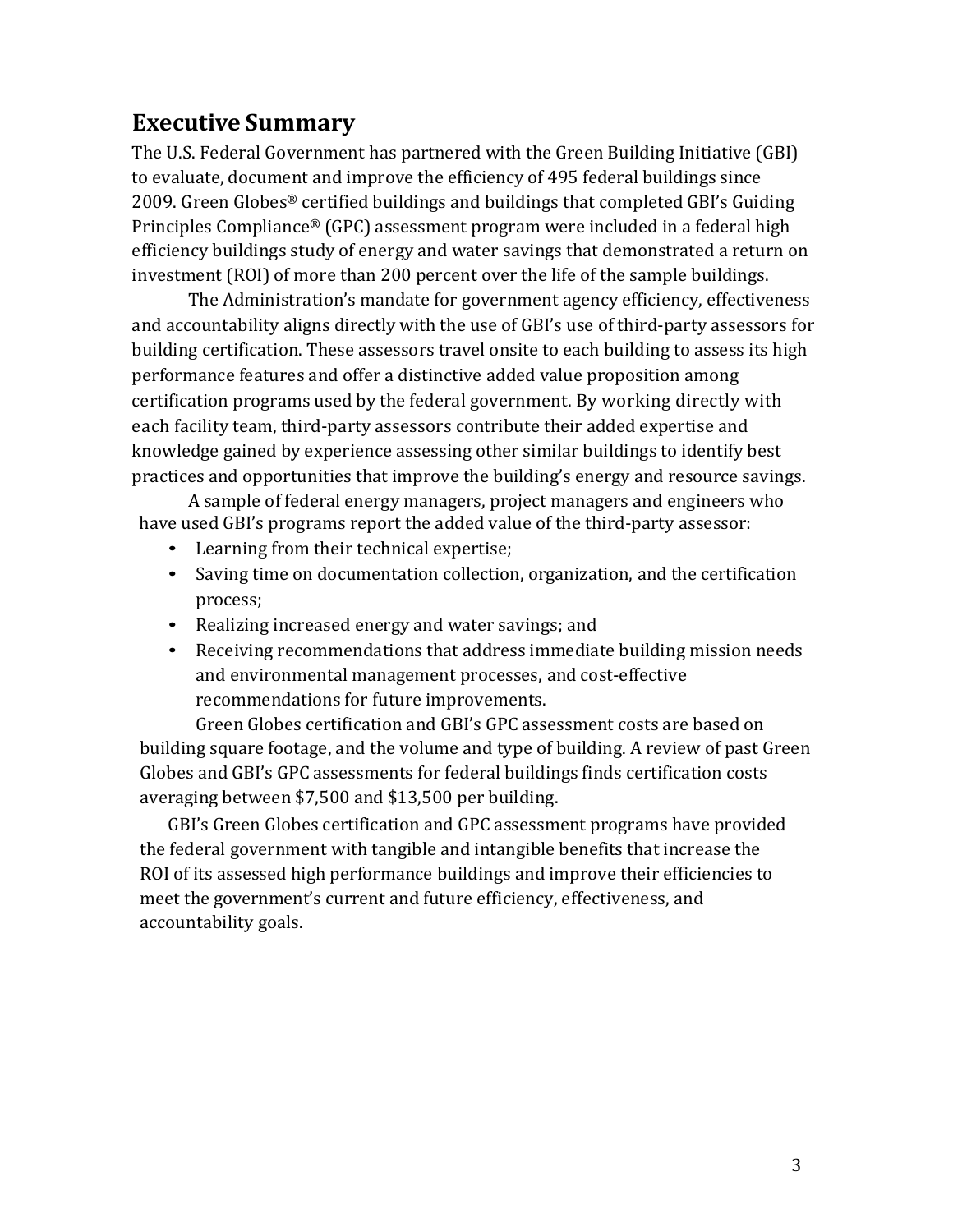# **Executive Summary**

The U.S. Federal Government has partnered with the Green Building Initiative (GBI) to evaluate, document and improve the efficiency of 495 federal buildings since 2009. Green Globes® certified buildings and buildings that completed GBI's Guiding Principles Compliance® (GPC) assessment program were included in a federal high efficiency buildings study of energy and water savings that demonstrated a return on investment (ROI) of more than 200 percent over the life of the sample buildings.

The Administration's mandate for government agency efficiency, effectiveness and accountability aligns directly with the use of GBI's use of third-party assessors for building certification. These assessors travel onsite to each building to assess its high performance features and offer a distinctive added value proposition among certification programs used by the federal government. By working directly with each facility team, third-party assessors contribute their added expertise and knowledge gained by experience assessing other similar buildings to identify best practices and opportunities that improve the building's energy and resource savings.

A sample of federal energy managers, project managers and engineers who have used GBI's programs report the added value of the third-party assessor:

- Learning from their technical expertise;
- Saving time on documentation collection, organization, and the certification process;
- Realizing increased energy and water savings; and
- Receiving recommendations that address immediate building mission needs and environmental management processes, and cost-effective recommendations for future improvements.

Green Globes certification and GBI's GPC assessment costs are based on building square footage, and the volume and type of building. A review of past Green Globes and GBI's GPC assessments for federal buildings finds certification costs averaging between \$7,500 and \$13,500 per building.

GBI's Green Globes certification and GPC assessment programs have provided the federal government with tangible and intangible benefits that increase the ROI of its assessed high performance buildings and improve their efficiencies to meet the government's current and future efficiency, effectiveness, and accountability goals.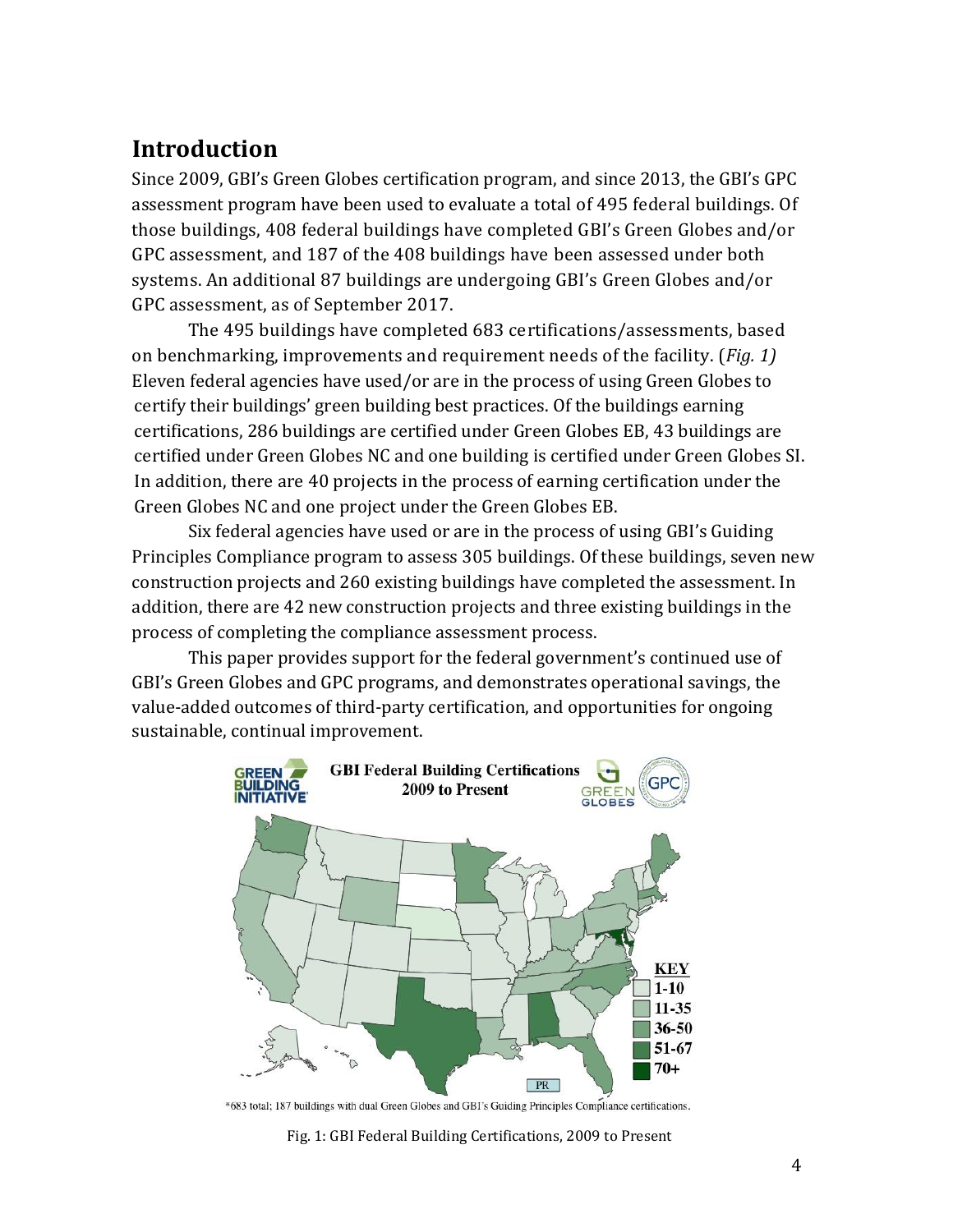# **Introduction**

Since 2009, GBI's Green Globes certification program, and since 2013, the GBI's GPC assessment program have been used to evaluate a total of 495 federal buildings. Of those buildings, 408 federal buildings have completed GBI's Green Globes and/or GPC assessment, and 187 of the 408 buildings have been assessed under both systems. An additional 87 buildings are undergoing GBI's Green Globes and/or GPC assessment, as of September 2017.

The 495 buildings have completed 683 certifications/assessments, based on benchmarking, improvements and requirement needs of the facility. (*Fig. 1)* Eleven federal agencies have used/or are in the process of using Green Globes to certify their buildings' green building best practices. Of the buildings earning certifications, 286 buildings are certified under Green Globes EB, 43 buildings are certified under Green Globes NC and one building is certified under Green Globes SI. In addition, there are 40 projects in the process of earning certification under the Green Globes NC and one project under the Green Globes EB.

Six federal agencies have used or are in the process of using GBI's Guiding Principles Compliance program to assess 305 buildings. Of these buildings, seven new construction projects and 260 existing buildings have completed the assessment. In addition, there are 42 new construction projects and three existing buildings in the process of completing the compliance assessment process.

This paper provides support for the federal government's continued use of GBI's Green Globes and GPC programs, and demonstrates operational savings, the value-added outcomes of third-party certification, and opportunities for ongoing sustainable, continual improvement.



\*683 total; 187 buildings with dual Green Globes and GBI's Guiding Principles Compliance certifications.

Fig. 1: GBI Federal Building Certifications, 2009 to Present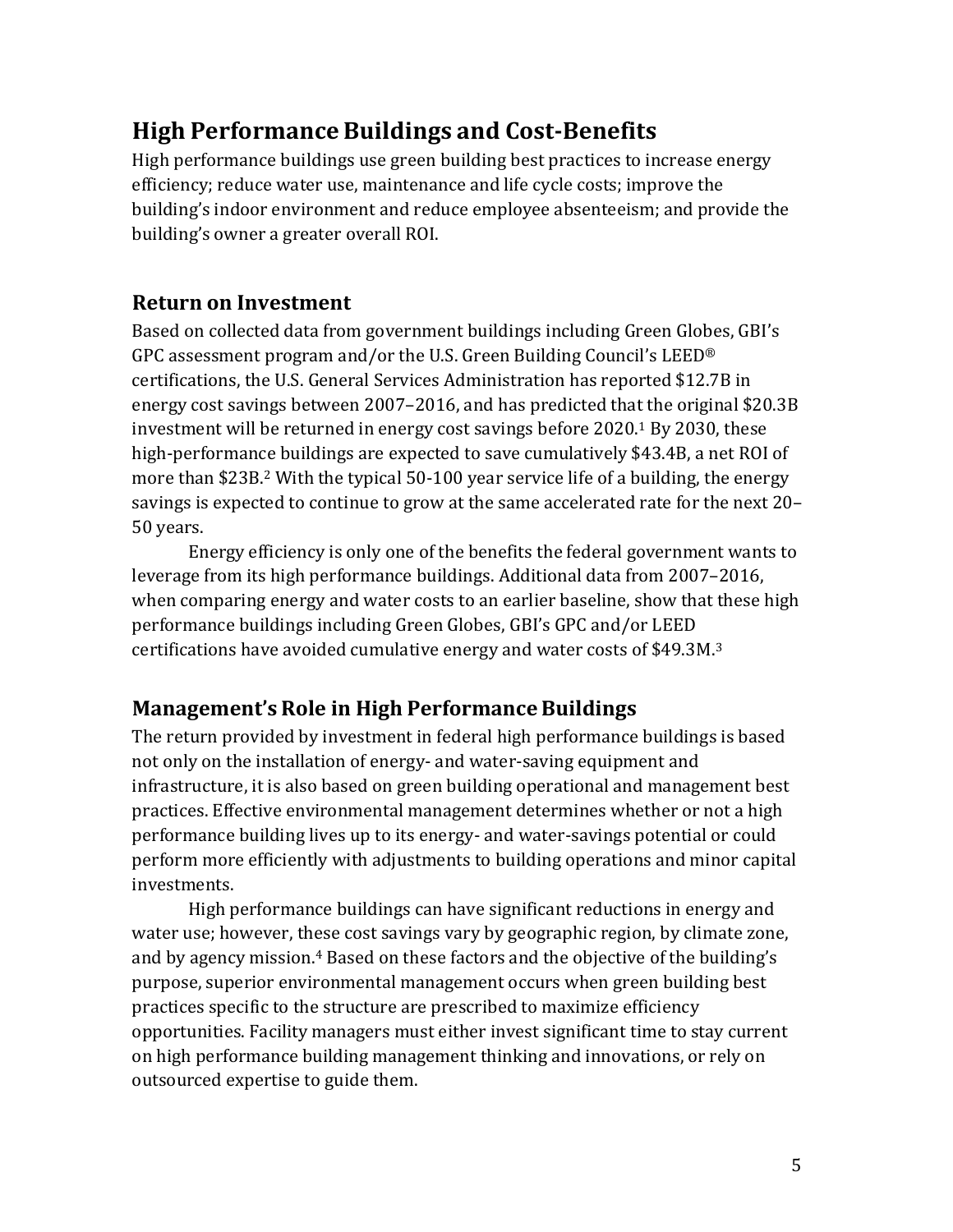# **High Performance Buildings and Cost-Benefits**

High performance buildings use green building best practices to increase energy efficiency; reduce water use, maintenance and life cycle costs; improve the building's indoor environment and reduce employee absenteeism; and provide the building's owner a greater overall ROI.

#### **Return on Investment**

Based on collected data from government buildings including Green Globes, GBI's GPC assessment program and/or the U.S. Green Building Council's LEED® certifications, the U.S. General Services Administration has reported \$12.7B in energy cost savings between 2007–2016, and has predicted that the original \$20.3B investment will be returned in energy cost savings before 2020. <sup>1</sup> By 2030, these high-performance buildings are expected to save cumulatively \$43.4B, a net ROI of more than \$23B. <sup>2</sup> With the typical 50-100 year service life of a building, the energy savings is expected to continue to grow at the same accelerated rate for the next 20– 50 years.

Energy efficiency is only one of the benefits the federal government wants to leverage from its high performance buildings. Additional data from 2007–2016, when comparing energy and water costs to an earlier baseline, show that these high performance buildings including Green Globes, GBI's GPC and/or LEED certifications have avoided cumulative energy and water costs of \$49.3M. 3

### **Management'sRole in High PerformanceBuildings**

The return provided by investment in federal high performance buildings is based not only on the installation of energy- and water-saving equipment and infrastructure, it is also based on green building operational and management best practices. Effective environmental management determines whether or not a high performance building lives up to its energy- and water-savings potential or could perform more efficiently with adjustments to building operations and minor capital investments.

High performance buildings can have significant reductions in energy and water use; however, these cost savings vary by geographic region, by climate zone, and by agency mission. <sup>4</sup> Based on these factors and the objective of the building's purpose, superior environmental management occurs when green building best practices specific to the structure are prescribed to maximize efficiency opportunities. Facility managers must either invest significant time to stay current on high performance building management thinking and innovations, or rely on outsourced expertise to guide them.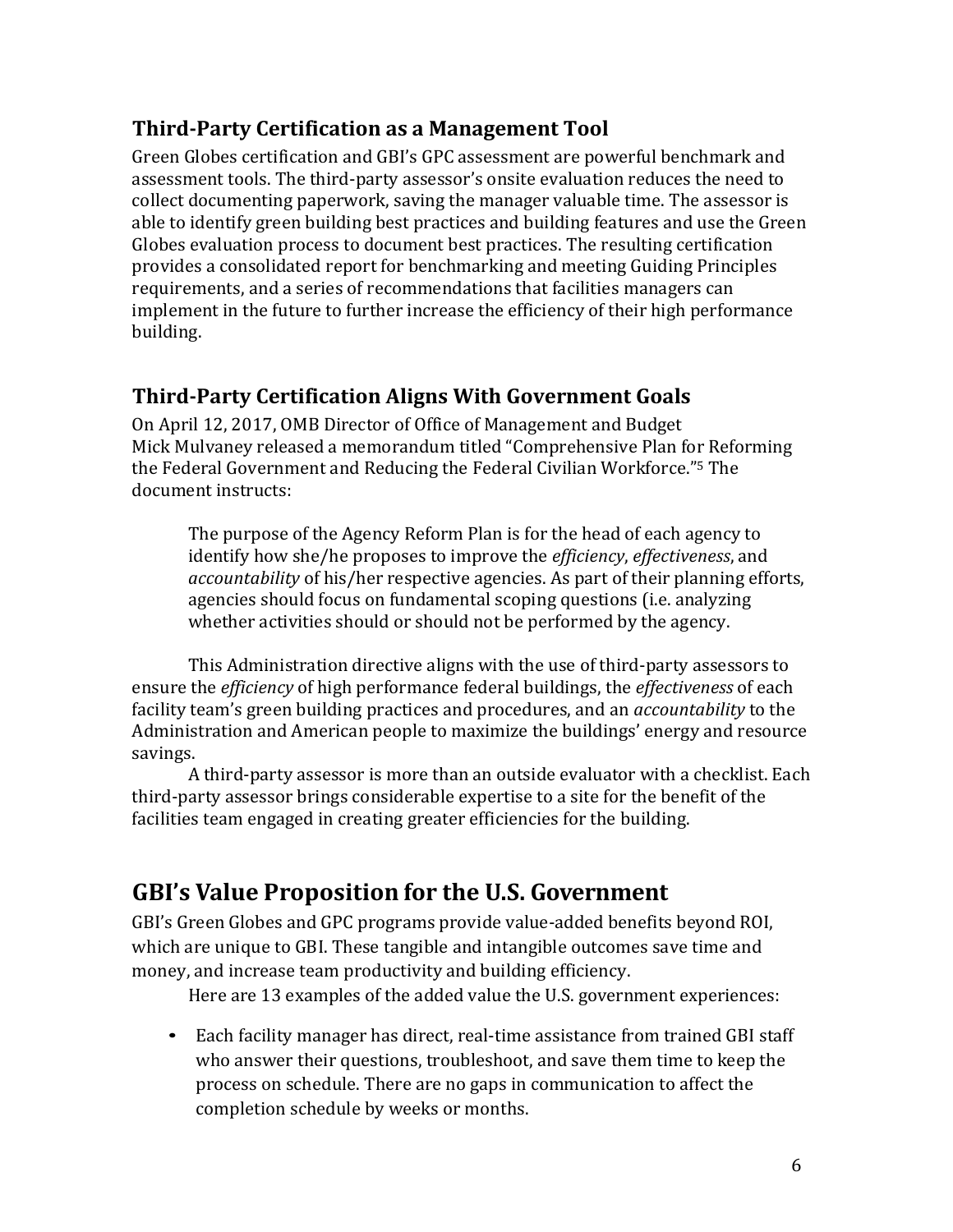### **Third-Party Certification as a Management Tool**

Green Globes certification and GBI's GPC assessment are powerful benchmark and assessment tools. The third-party assessor's onsite evaluation reduces the need to collect documenting paperwork, saving the manager valuable time. The assessor is able to identify green building best practices and building features and use the Green Globes evaluation process to document best practices. The resulting certification provides a consolidated report for benchmarking and meeting Guiding Principles requirements, and a series of recommendations that facilities managers can implement in the future to further increase the efficiency of their high performance building.

#### **Third-Party Certification Aligns With Government Goals**

On April 12, 2017, OMB Director of Office of Management and Budget Mick Mulvaney released a memorandum titled "Comprehensive Plan for Reforming the Federal Government and Reducing the Federal Civilian Workforce."<sup>5</sup> The document instructs:

The purpose of the Agency Reform Plan is for the head of each agency to identify how she/he proposes to improve the *efficiency*, *effectiveness*, and *accountability* of his/her respective agencies. As part of their planning efforts, agencies should focus on fundamental scoping questions (i.e. analyzing whether activities should or should not be performed by the agency.

This Administration directive aligns with the use of third-party assessors to ensure the *efficiency* of high performance federal buildings, the *effectiveness* of each facility team's green building practices and procedures, and an *accountability* to the Administration and American people to maximize the buildings' energy and resource savings.

A third-party assessor is more than an outside evaluator with a checklist. Each third-party assessor brings considerable expertise to a site for the benefit of the facilities team engaged in creating greater efficiencies for the building.

# **GBI's Value Proposition for the U.S. Government**

GBI's Green Globes and GPC programs provide value-added benefits beyond ROI, which are unique to GBI. These tangible and intangible outcomes save time and money, and increase team productivity and building efficiency.

Here are 13 examples of the added value the U.S. government experiences:

• Each facility manager has direct, real-time assistance from trained GBI staff who answer their questions, troubleshoot, and save them time to keep the process on schedule. There are no gaps in communication to affect the completion schedule by weeks or months.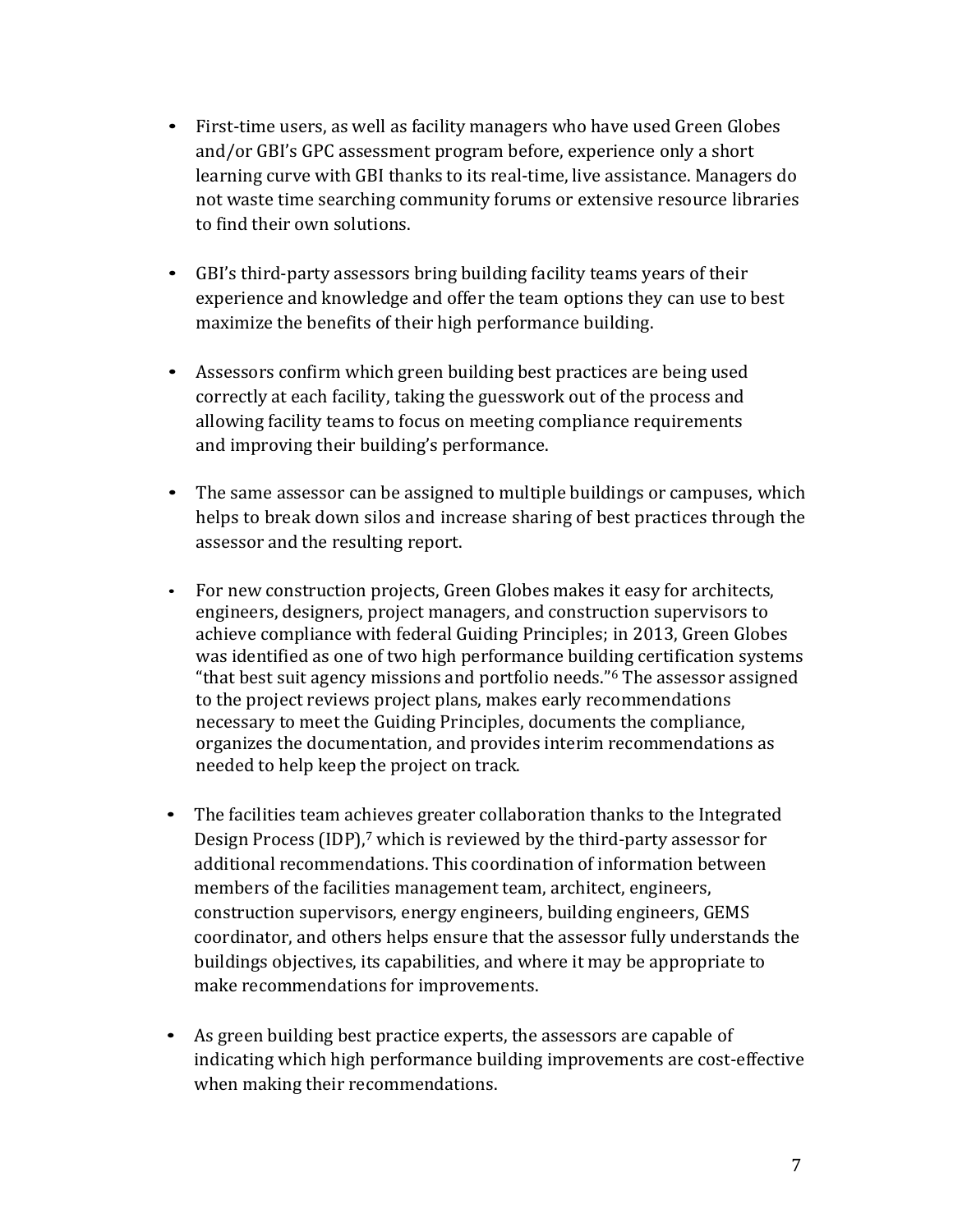- First-time users, as well as facility managers who have used Green Globes and/or GBI's GPC assessment program before, experience only a short learning curve with GBI thanks to its real-time, live assistance. Managers do not waste time searching community forums or extensive resource libraries to find their own solutions.
- GBI's third-party assessors bring building facility teams years of their experience and knowledge and offer the team options they can use to best maximize the benefits of their high performance building.
- Assessors confirm which green building best practices are being used correctly at each facility, taking the guesswork out of the process and allowing facility teams to focus on meeting compliance requirements and improving their building's performance.
- The same assessor can be assigned to multiple buildings or campuses, which helps to break down silos and increase sharing of best practices through the assessor and the resulting report.
- For new construction projects, Green Globes makes it easy for architects, engineers, designers, project managers, and construction supervisors to achieve compliance with federal Guiding Principles; in 2013, Green Globes was identified as one of two high performance building certification systems "that best suit agency missions and portfolio needs."<sup>6</sup> The assessor assigned to the project reviews project plans, makes early recommendations necessary to meet the Guiding Principles, documents the compliance, organizes the documentation, and provides interim recommendations as needed to help keep the project on track.
- The facilities team achieves greater collaboration thanks to the Integrated Design Process (IDP), <sup>7</sup> which is reviewed by the third-party assessor for additional recommendations. This coordination of information between members of the facilities management team, architect, engineers, construction supervisors, energy engineers, building engineers, GEMS coordinator, and others helps ensure that the assessor fully understands the buildings objectives, its capabilities, and where it may be appropriate to make recommendations for improvements.
- As green building best practice experts, the assessors are capable of indicating which high performance building improvements are cost-effective when making their recommendations.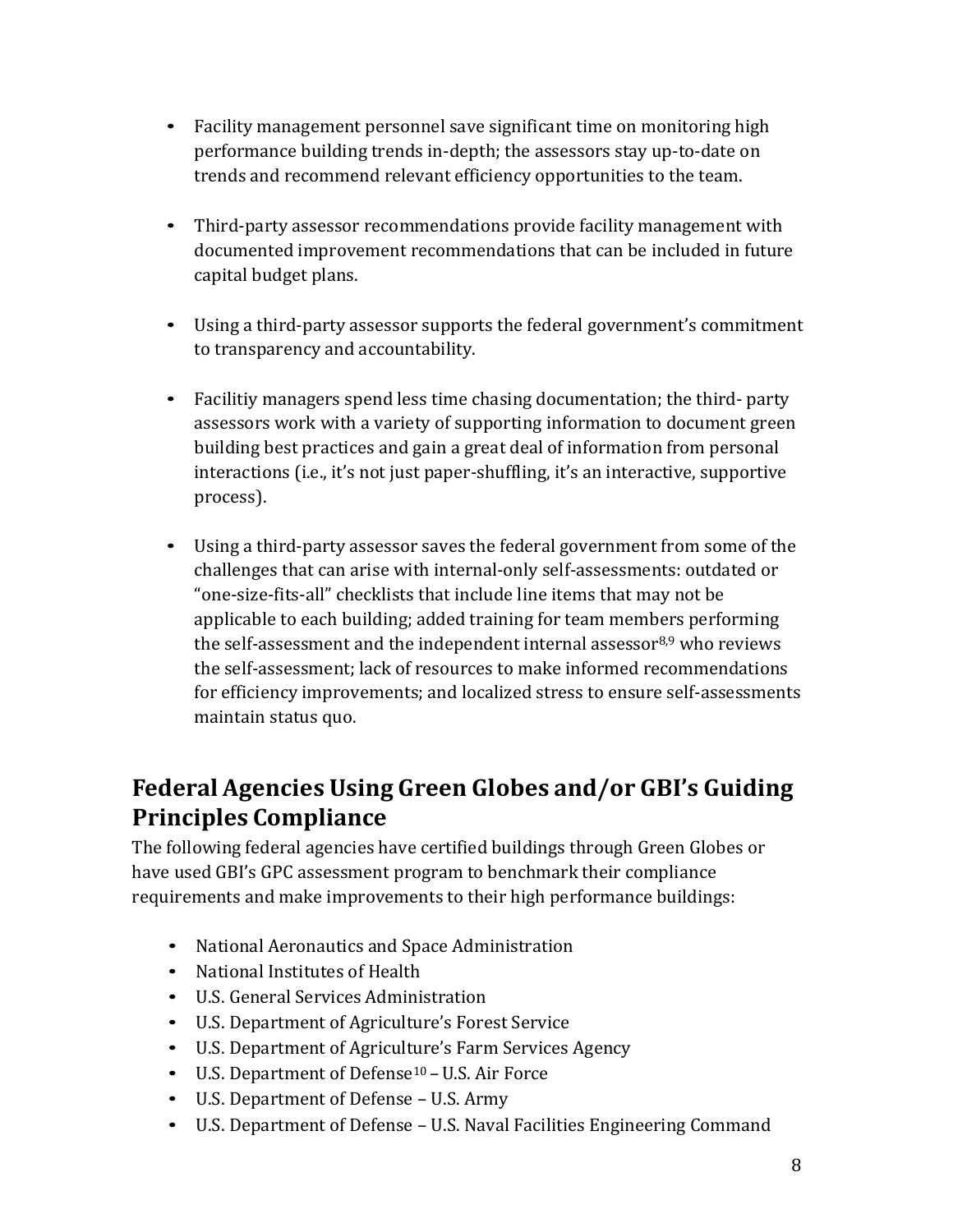- Facility management personnel save significant time on monitoring high performance building trends in-depth; the assessors stay up-to-date on trends and recommend relevant efficiency opportunities to the team.
- Third-party assessor recommendations provide facility management with documented improvement recommendations that can be included in future capital budget plans.
- Using a third-party assessor supports the federal government's commitment to transparency and accountability.
- Facilitiy managers spend less time chasing documentation; the third- party assessors work with a variety of supporting information to document green building best practices and gain a great deal of information from personal interactions (i.e., it's not just paper-shuffling, it's an interactive, supportive process).
- Using a third-party assessor saves the federal government from some of the challenges that can arise with internal-only self-assessments: outdated or "one-size-fits-all" checklists that include line items that may not be applicable to each building; added training for team members performing the self-assessment and the independent internal assessor 8,9 who reviews the self-assessment; lack of resources to make informed recommendations for efficiency improvements; and localized stress to ensure self-assessments maintain status quo.

# **Federal Agencies Using Green Globes and/or GBI's Guiding Principles Compliance**

The following federal agencies have certified buildings through Green Globes or have used GBI's GPC assessment program to benchmark their compliance requirements and make improvements to their high performance buildings:

- National Aeronautics and Space Administration
- National Institutes of Health
- U.S. General Services Administration
- U.S. Department of Agriculture's Forest Service
- U.S. Department of Agriculture's Farm Services Agency
- U.S. Department of Defense <sup>10</sup> –U.S. Air Force
- U.S. Department of Defense U.S. Army
- U.S. Department of Defense U.S. Naval Facilities Engineering Command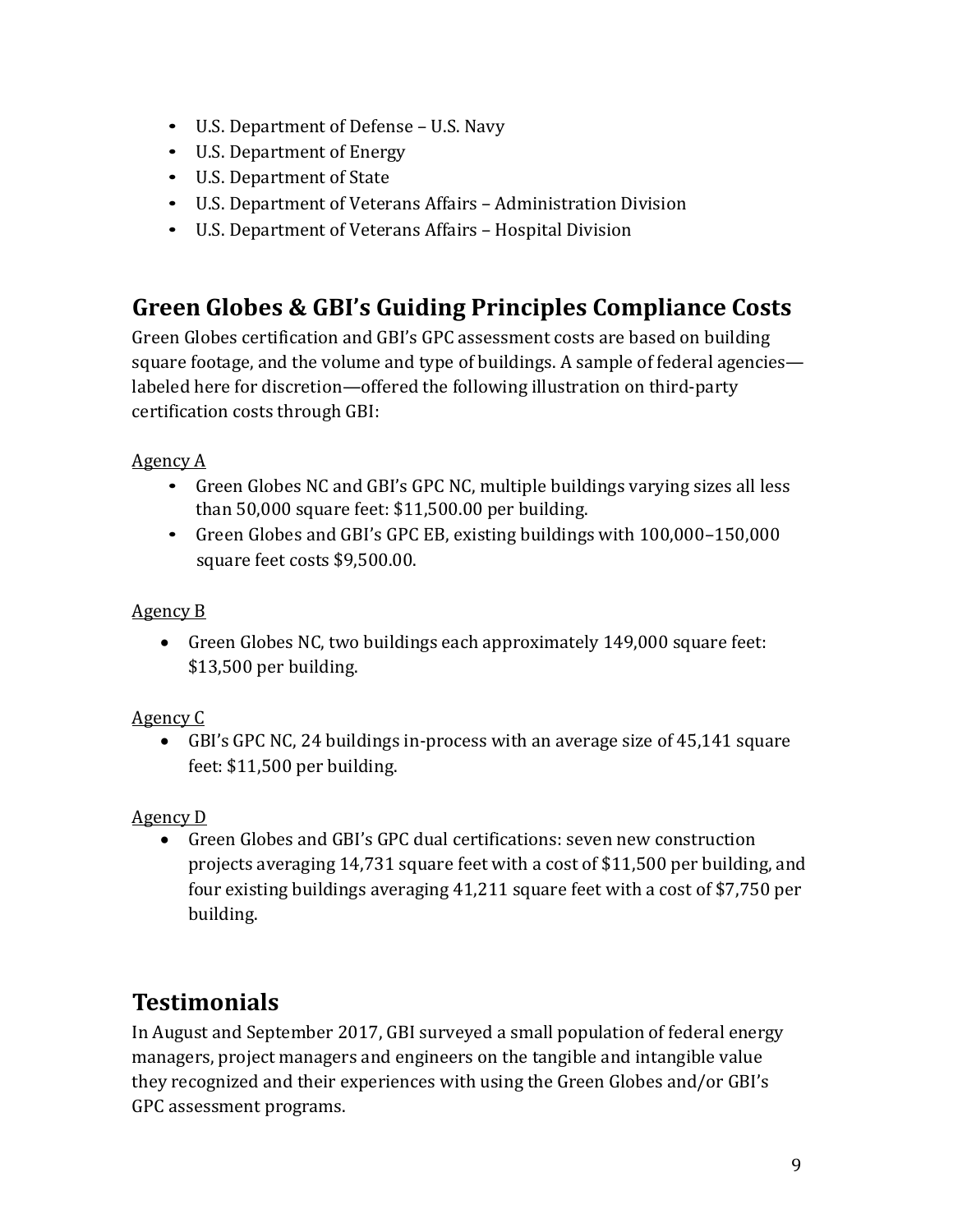- U.S. Department of Defense U.S. Navy
- U.S. Department of Energy
- U.S. Department of State
- U.S. Department of Veterans Affairs Administration Division
- U.S. Department of Veterans Affairs Hospital Division

# **Green Globes & GBI's Guiding Principles Compliance Costs**

Green Globes certification and GBI's GPC assessment costs are based on building square footage, and the volume and type of buildings. A sample of federal agencies labeled here for discretion—offered the following illustration on third-party certification costs through GBI:

#### Agency A

- Green Globes NC and GBI's GPC NC, multiple buildings varying sizes all less than 50,000 square feet: \$11,500.00 per building.
- Green Globes and GBI's GPC EB, existing buildings with 100,000–150,000 square feet costs \$9,500.00.

#### Agency B

• Green Globes NC, two buildings each approximately 149,000 square feet: \$13,500 per building.

#### Agency C

• GBI's GPC NC, 24 buildings in-process with an average size of 45,141 square feet: \$11,500 per building.

#### Agency D

• Green Globes and GBI's GPC dual certifications: seven new construction projects averaging 14,731 square feet with a cost of \$11,500 per building, and four existing buildings averaging 41,211 square feet with a cost of \$7,750 per building.

# **Testimonials**

In August and September 2017, GBI surveyed a small population of federal energy managers, project managers and engineers on the tangible and intangible value they recognized and their experiences with using the Green Globes and/or GBI's GPC assessment programs.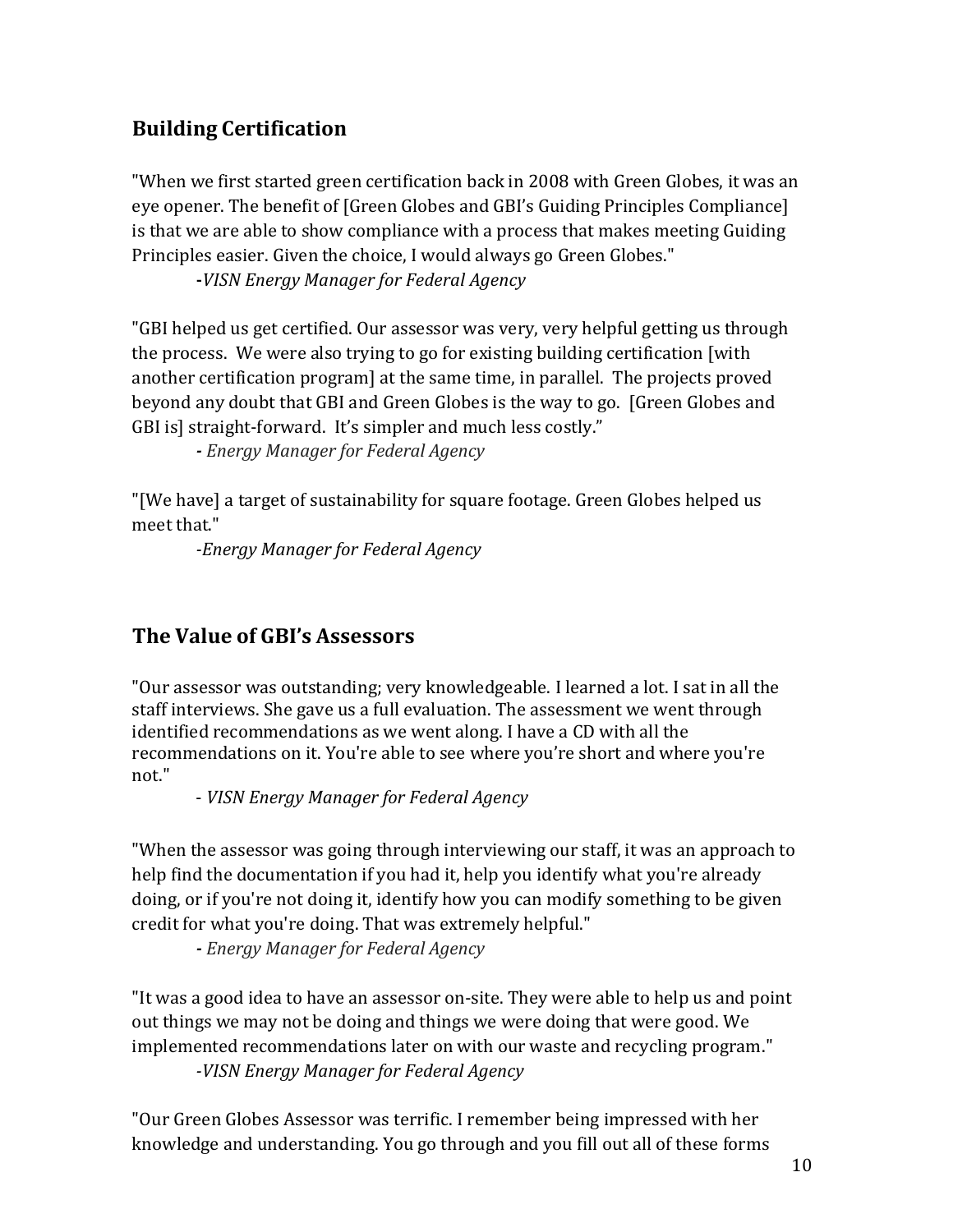## **Building Certification**

"When we first started green certification back in 2008 with Green Globes, it was an eye opener. The benefit of [Green Globes and GBI's Guiding Principles Compliance] is that we are able to show compliance with a process that makes meeting Guiding Principles easier. Given the choice, I would always go Green Globes."

**-***VISN Energy Manager for Federal Agency*

"GBI helped us get certified. Our assessor was very, very helpful getting us through the process. We were also trying to go for existing building certification [with another certification program] at the same time, in parallel. The projects proved beyond any doubt that GBI and Green Globes is the way to go. [Green Globes and GBI is] straight-forward. It's simpler and much less costly."

*- Energy Manager for Federal Agency*

"[We have] a target of sustainability for square footage. Green Globes helped us meet that."

*-Energy Manager for Federal Agency*

## **The Value of GBI's Assessors**

"Our assessor was outstanding; very knowledgeable. I learned a lot. I sat in all the staff interviews. She gave us a full evaluation. The assessment we went through identified recommendations as we went along. I have a CD with all the recommendations on it. You're able to see where you're short and where you're not."

- *VISN Energy Manager for Federal Agency*

"When the assessor was going through interviewing our staff, it was an approach to help find the documentation if you had it, help you identify what you're already doing, or if you're not doing it, identify how you can modify something to be given credit for what you're doing. That was extremely helpful."

*- Energy Manager for Federal Agency*

"It was a good idea to have an assessor on-site. They were able to help us and point out things we may not be doing and things we were doing that were good. We implemented recommendations later on with our waste and recycling program."

*-VISN Energy Manager for Federal Agency*

"Our Green Globes Assessor was terrific. I remember being impressed with her knowledge and understanding. You go through and you fill out all of these forms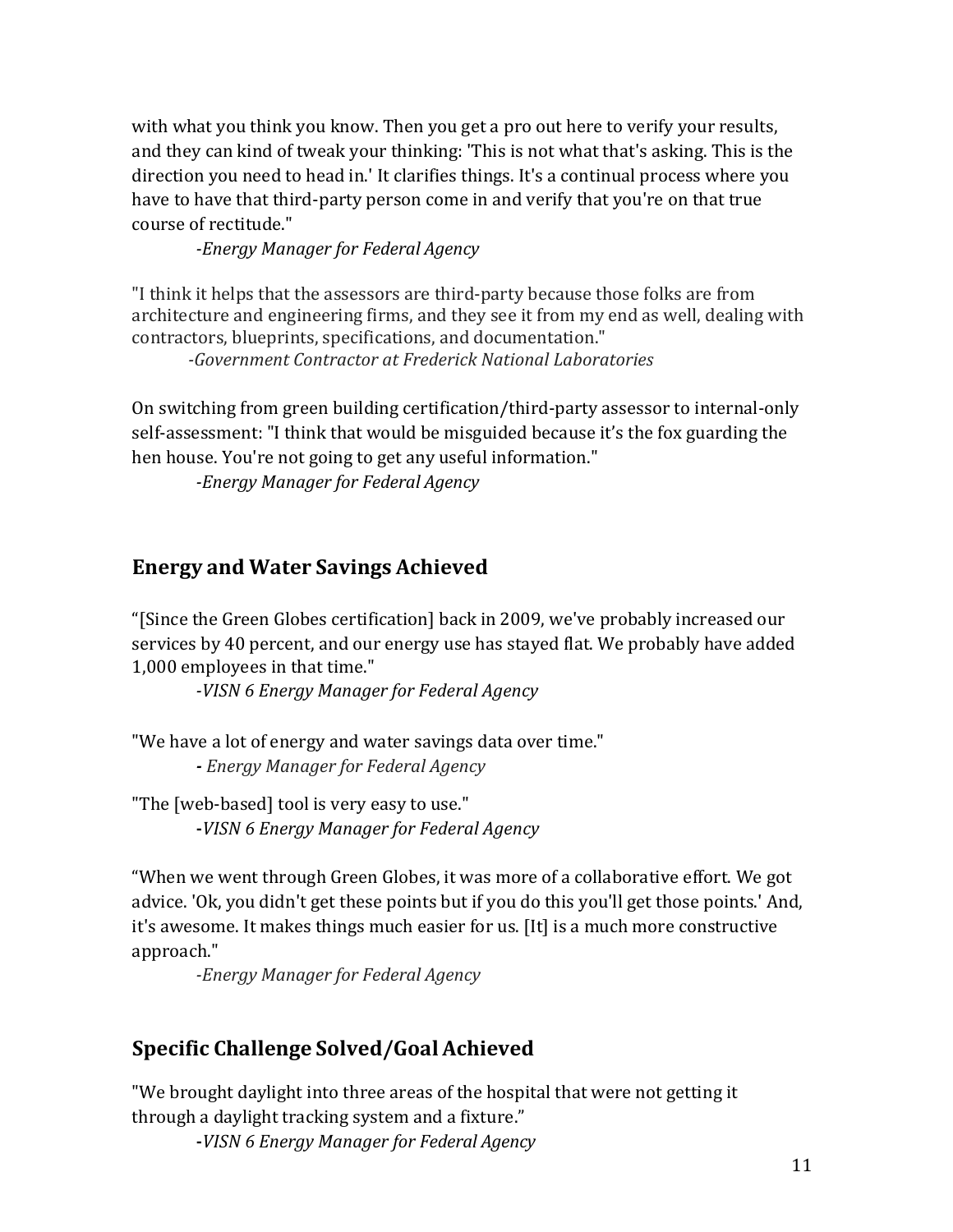with what you think you know. Then you get a pro out here to verify your results, and they can kind of tweak your thinking: 'This is not what that's asking. This is the direction you need to head in.' It clarifies things. It's a continual process where you have to have that third-party person come in and verify that you're on that true course of rectitude."

*-Energy Manager for Federal Agency*

"I think it helps that the assessors are third-party because those folks are from architecture and engineering firms, and they see it from my end as well, dealing with contractors, blueprints, specifications, and documentation."

*-Government Contractor at Frederick National Laboratories*

On switching from green building certification/third-party assessor to internal-only self-assessment: "I think that would be misguided because it's the fox guarding the hen house. You're not going to get any useful information."

*-Energy Manager for Federal Agency*

#### **Energy and Water Savings Achieved**

"[Since the Green Globes certification] back in 2009, we've probably increased our services by 40 percent, and our energy use has stayed flat. We probably have added 1,000 employees in that time."

*-VISN 6 Energy Manager for Federal Agency*

"We have a lot of energy and water savings data over time." *- Energy Manager for Federal Agency*

"The [web-based] tool is very easy to use." **-***VISN 6 Energy Manager for Federal Agency*

"When we went through Green Globes, it was more of a collaborative effort. We got advice. 'Ok, you didn't get these points but if you do this you'll get those points.' And, it's awesome. It makes things much easier for us. [It] is a much more constructive approach."

*-Energy Manager for Federal Agency*

#### **Specific Challenge Solved/GoalAchieved**

"We brought daylight into three areas of the hospital that were not getting it through a daylight tracking system and a fixture."

**-***VISN 6 Energy Manager for Federal Agency*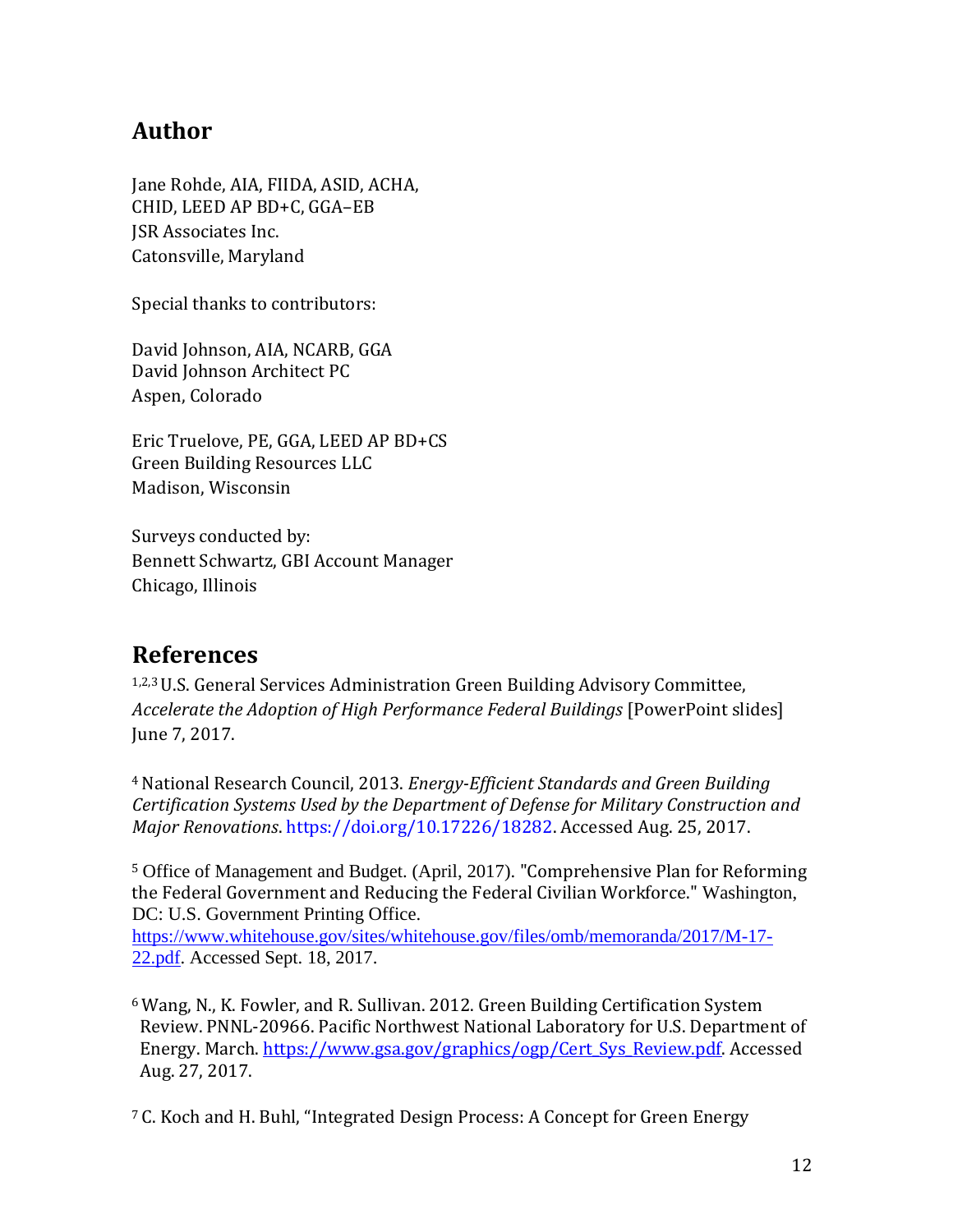# **Author**

Jane Rohde, AIA, FIIDA, ASID, ACHA, CHID, LEED AP BD+C, GGA–EB JSR Associates Inc. Catonsville, Maryland

Special thanks to contributors:

David Johnson, AIA, NCARB, GGA David Johnson Architect PC Aspen, Colorado

Eric Truelove, PE, GGA, LEED AP BD+CS Green Building Resources LLC Madison, Wisconsin

Surveys conducted by: Bennett Schwartz, GBI Account Manager Chicago, Illinois

# **References**

1,2,3U.S. General Services Administration Green Building Advisory Committee, *Accelerate the Adoption of High Performance Federal Buildings* [PowerPoint slides] June 7, 2017.

<sup>4</sup>National Research Council, 2013. *Energy-Efficient Standards and Green Building Certification Systems Used by the Department of Defense for Military Construction and Major Renovations*. [https://doi.org/10.17226/18282.](https://doi.org/10.17226/18282) Accessed Aug. 25, 2017.

<sup>5</sup> Office of Management and Budget. (April, 2017). "Comprehensive Plan for Reforming the Federal Government and Reducing the Federal Civilian Workforce." Washington, DC: U.S. Government Printing Office. [https://www.whitehouse.gov/sites/whitehouse.gov/files/omb/memoranda/2017/M-17-](https://www.whitehouse.gov/sites/whitehouse.gov/files/omb/memoranda/2017/M-17-22.pdf) [22.pdf.](https://www.whitehouse.gov/sites/whitehouse.gov/files/omb/memoranda/2017/M-17-22.pdf) Accessed Sept. 18, 2017.

<sup>6</sup>Wang, N., K. Fowler, and R. Sullivan. 2012. Green Building Certification System Review. PNNL-20966. Pacific Northwest National Laboratory for U.S. Department of Energy. March. [https://www.gsa.gov/graphics/ogp/Cert\\_Sys\\_Review.pdf.](https://www.gsa.gov/graphics/ogp/Cert_Sys_Review.pdf) Accessed Aug. 27, 2017.

<sup>7</sup> C. Koch and H. Buhl, "Integrated Design Process: A Concept for Green Energy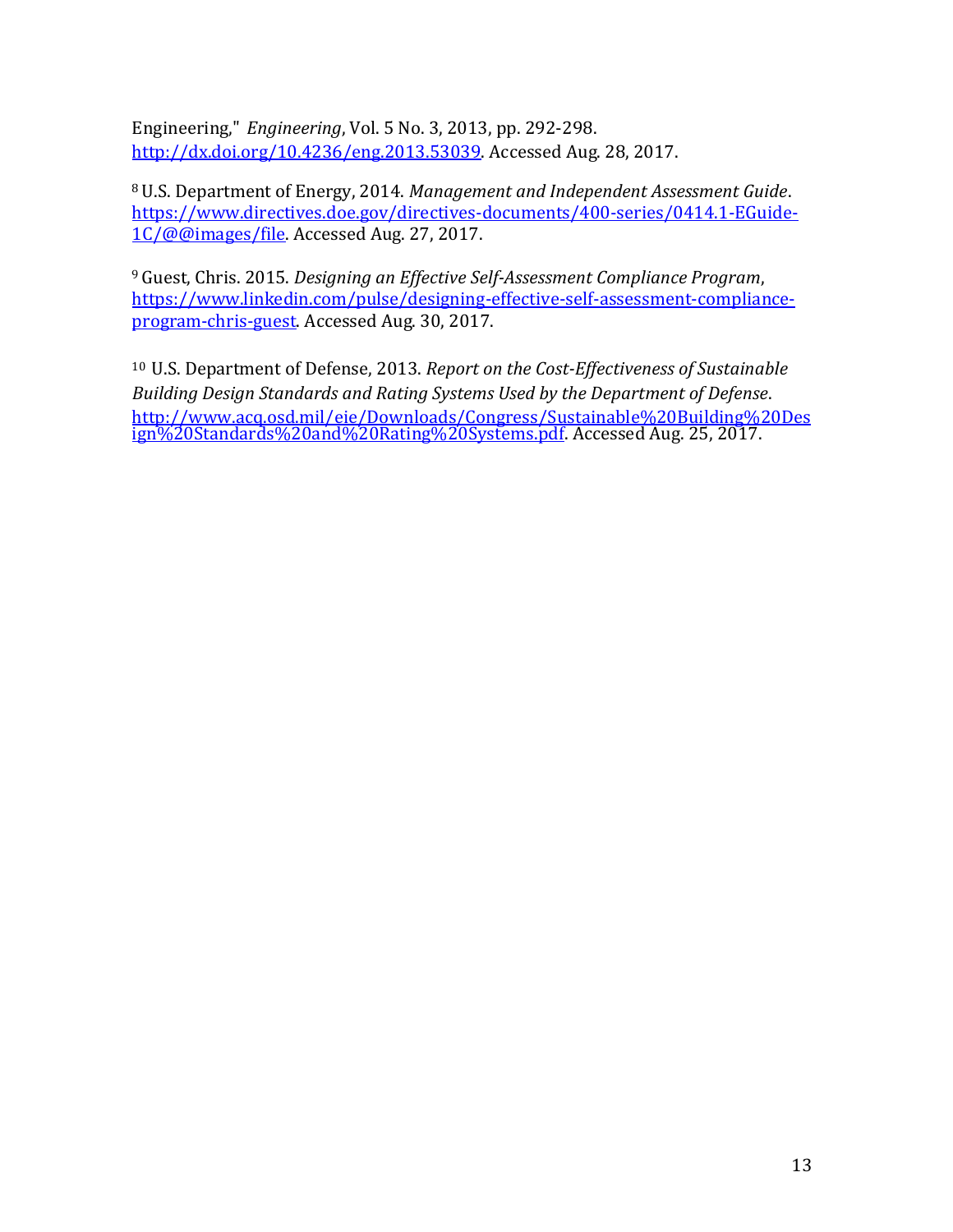Engineering," *Engineering*, Vol. 5 No. 3, 2013, pp. 292-298. [http://dx.doi.org/10.4236/eng.2013.53039.](http://dx.doi.org/10.4236/eng.2013.53039) Accessed Aug. 28, 2017.

<sup>8</sup>U.S. Department of Energy, 2014. *Management and Independent Assessment Guide*. [https://www.directives.doe.gov/directives-documents/400-series/0414.1-EGuide-](https://www.directives.doe.gov/directives-documents/400-series/0414.1-EGuide-1C/@@images/file)[1C/@@images/file.](https://www.directives.doe.gov/directives-documents/400-series/0414.1-EGuide-1C/@@images/file) Accessed Aug. 27, 2017.

<sup>9</sup>Guest, Chris. 2015. *Designing an Effective Self-Assessment Compliance Program*, [https://www.linkedin.com/pulse/designing-effective-self-assessment-compliance](https://www.linkedin.com/pulse/designing-effective-self-assessment-compliance-program-chris-guest)[program-chris-guest.](https://www.linkedin.com/pulse/designing-effective-self-assessment-compliance-program-chris-guest) Accessed Aug. 30, 2017.

<sup>10</sup>U.S. Department of Defense, 2013. *Report on the Cost-Effectiveness of Sustainable Building Design Standards and Rating Systems Used by the Department of Defense*. [http://www.acq.osd.mil/eie/Downloads/Congress/Sustainable%20Building%20Des](http://www.acq.osd.mil/eie/Downloads/Congress/Sustainable%20Building%20Design%20Standards%20and%20Rating%20Systems.pdf) [ign%20Standards%20and%20Rating%20Systems.pdf.](http://www.acq.osd.mil/eie/Downloads/Congress/Sustainable%20Building%20Design%20Standards%20and%20Rating%20Systems.pdf) Accessed Aug. 25, 2017.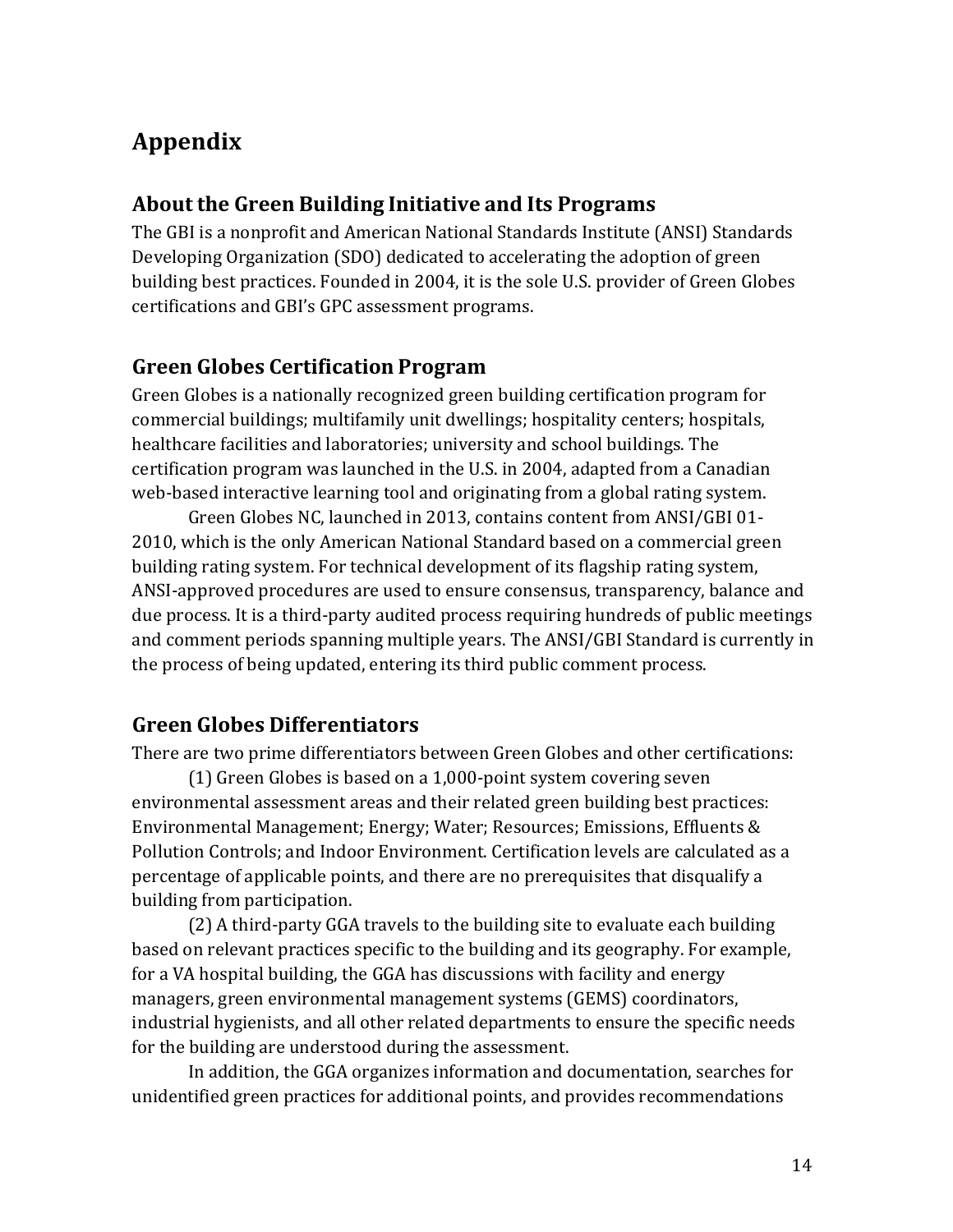# **Appendix**

### **About the Green Building Initiative and Its Programs**

The GBI is a nonprofit and American National Standards Institute (ANSI) Standards Developing Organization (SDO) dedicated to accelerating the adoption of green building best practices. Founded in 2004, it is the sole U.S. provider of Green Globes certifications and GBI's GPC assessment programs.

## **Green Globes Certification Program**

Green Globes is a nationally recognized green building certification program for commercial buildings; multifamily unit dwellings; hospitality centers; hospitals, healthcare facilities and laboratories; university and school buildings. The certification program was launched in the U.S. in 2004, adapted from a Canadian web-based interactive learning tool and originating from a global rating system.

Green Globes NC, launched in 2013, contains content from ANSI/GBI 01- 2010, which is the only American National Standard based on a commercial green building rating system. For technical development of its flagship rating system, ANSI-approved procedures are used to ensure consensus, transparency, balance and due process. It is a third-party audited process requiring hundreds of public meetings and comment periods spanning multiple years. The ANSI/GBI Standard is currently in the process of being updated, entering its third public comment process.

## **Green Globes Differentiators**

There are two prime differentiators between Green Globes and other certifications:

(1) Green Globes is based on a 1,000-point system covering seven environmental assessment areas and their related green building best practices: Environmental Management; Energy; Water; Resources; Emissions, Effluents & Pollution Controls; and Indoor Environment. Certification levels are calculated as a percentage of applicable points, and there are no prerequisites that disqualify a building from participation.

(2) A third-party GGA travels to the building site to evaluate each building based on relevant practices specific to the building and its geography. For example, for a VA hospital building, the GGA has discussions with facility and energy managers, green environmental management systems (GEMS) coordinators, industrial hygienists, and all other related departments to ensure the specific needs for the building are understood during the assessment.

In addition, the GGA organizes information and documentation, searches for unidentified green practices for additional points, and provides recommendations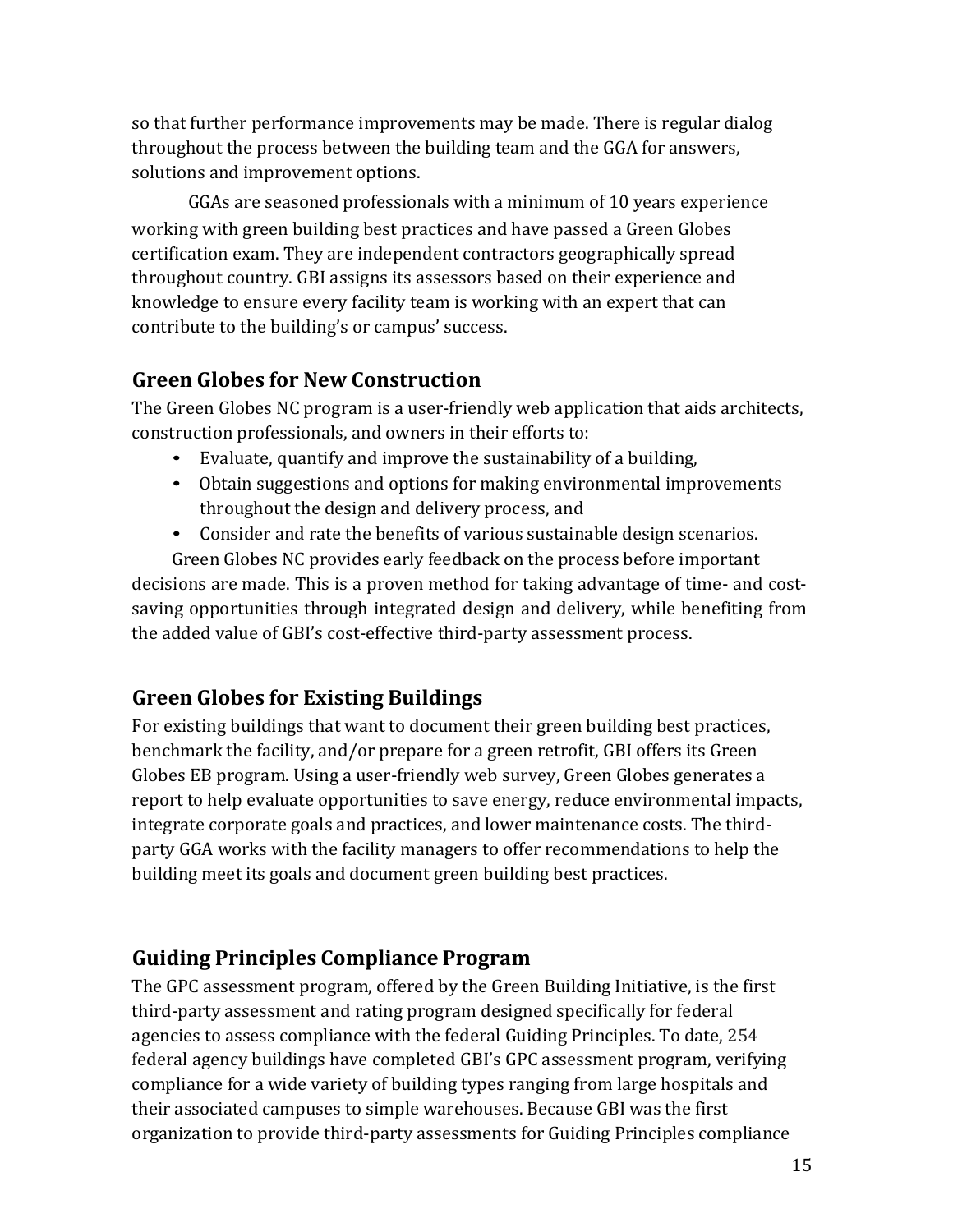so that further performance improvements may be made. There is regular dialog throughout the process between the building team and the GGA for answers, solutions and improvement options.

GGAs are seasoned professionals with a minimum of 10 years experience working with green building best practices and have passed a Green Globes certification exam. They are independent contractors geographically spread throughout country. GBI assigns its assessors based on their experience and knowledge to ensure every facility team is working with an expert that can contribute to the building's or campus' success.

### **Green Globes for New Construction**

The Green Globes NC program is a user-friendly web application that aids architects, construction professionals, and owners in their efforts to:

- Evaluate, quantify and improve the sustainability of a building,
- Obtain suggestions and options for making environmental improvements throughout the design and delivery process, and
- Consider and rate the benefits of various sustainable design scenarios.

Green Globes NC provides early feedback on the process before important decisions are made. This is a proven method for taking advantage of time- and costsaving opportunities through integrated design and delivery, while benefiting from the added value of GBI's cost-effective third-party assessment process.

## **Green Globes for Existing Buildings**

For existing buildings that want to document their green building best practices, benchmark the facility, and/or prepare for a green retrofit, GBI offers its Green Globes EB program. Using a user-friendly web survey, Green Globes generates a report to help evaluate opportunities to save energy, reduce environmental impacts, integrate corporate goals and practices, and lower maintenance costs. The thirdparty GGA works with the facility managers to offer recommendations to help the building meet its goals and document green building best practices.

## **Guiding Principles Compliance Program**

The GPC assessment program, offered by the Green Building Initiative, is the first third-party assessment and rating program designed specifically for federal agencies to assess compliance with the federal Guiding Principles. To date, 254 federal agency buildings have completed GBI's GPC assessment program, verifying compliance for a wide variety of building types ranging from large hospitals and their associated campuses to simple warehouses. Because GBI was the first organization to provide third-party assessments for Guiding Principles compliance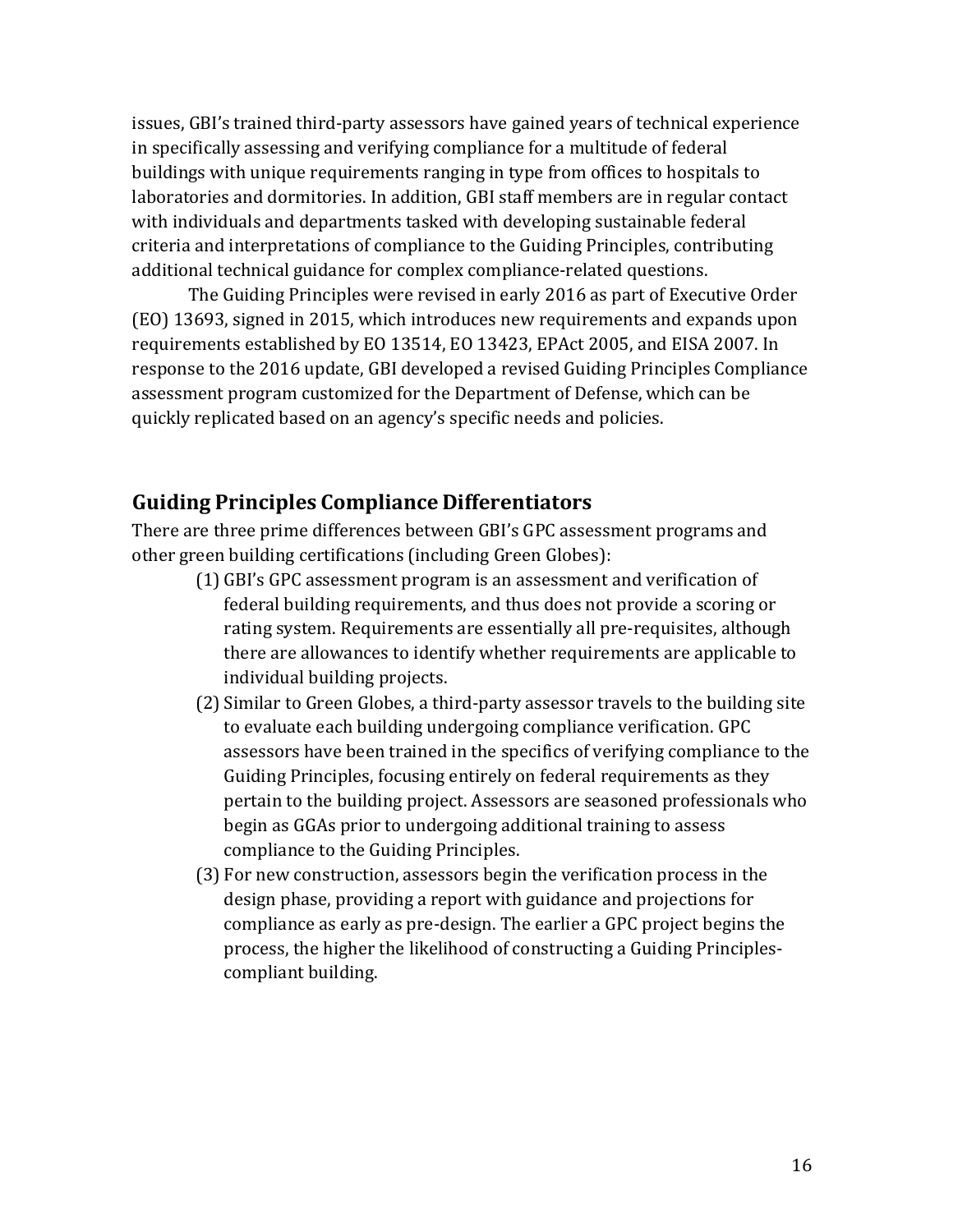issues, GBI's trained third-party assessors have gained years of technical experience in specifically assessing and verifying compliance for a multitude of federal buildings with unique requirements ranging in type from offices to hospitals to laboratories and dormitories. In addition, GBI staff members are in regular contact with individuals and departments tasked with developing sustainable federal criteria and interpretations of compliance to the Guiding Principles, contributing additional technical guidance for complex compliance-related questions.

The Guiding Principles were revised in early 2016 as part of Executive Order (EO) 13693, signed in 2015, which introduces new requirements and expands upon requirements established by EO 13514, EO 13423, EPAct 2005, and EISA 2007. In response to the 2016 update, GBI developed a revised Guiding Principles Compliance assessment program customized for the Department of Defense, which can be quickly replicated based on an agency's specific needs and policies.

#### **Guiding Principles Compliance Differentiators**

There are three prime differences between GBI's GPC assessment programs and other green building certifications (including Green Globes):

- (1) GBI's GPC assessment program is an assessment and verification of federal building requirements, and thus does not provide a scoring or rating system. Requirements are essentially all pre-requisites, although there are allowances to identify whether requirements are applicable to individual building projects.
- (2) Similar to Green Globes, a third-party assessor travels to the building site to evaluate each building undergoing compliance verification. GPC assessors have been trained in the specifics of verifying compliance to the Guiding Principles, focusing entirely on federal requirements as they pertain to the building project. Assessors are seasoned professionals who begin as GGAs prior to undergoing additional training to assess compliance to the Guiding Principles.
- (3) For new construction, assessors begin the verification process in the design phase, providing a report with guidance and projections for compliance as early as pre-design. The earlier a GPC project begins the process, the higher the likelihood of constructing a Guiding Principlescompliant building.